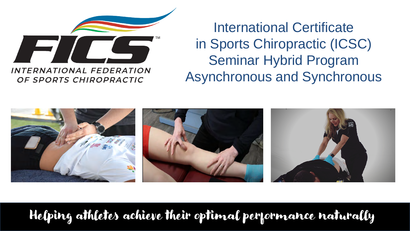

**INTERNATIONAL FEDERATION** OF SPORTS CHIROPRACTIC

International Certificate in Sports Chiropractic (ICSC) Seminar Hybrid Program Asynchronous and Synchronous



Helping athletes achieve their optimal performance naturally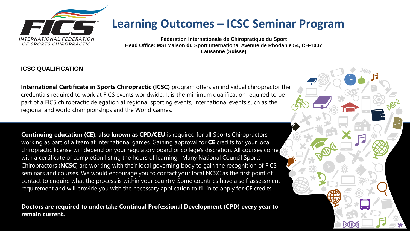

## **Learning Outcomes – ICSC Seminar Program**

**Fédération Internationale de Chiropratique du Sport Head Office: MSI Maison du Sport International Avenue de Rhodanie 54, CH-1007 Lausanne (Suisse)**

### **ICSC QUALIFICATION**

**International Certificate in Sports Chiropractic (ICSC)** program offers an individual chiropractor the credentials required to work at FICS events worldwide. It is the minimum qualification required to be part of a FICS chiropractic delegation at regional sporting events, international events such as the regional and world championships and the World Games.

**Continuing education (CE), also known as CPD/CEU** is required for all Sports Chiropractors working as part of a team at international games. Gaining approval for **CE** credits for your local chiropractic license will depend on your regulatory board or college's discretion. All courses come with a certificate of completion listing the hours of learning. Many National Council Sports Chiropractors (**NCSC**) are working with their local governing body to gain the recognition of FICS seminars and courses. We would encourage you to contact your local NCSC as the first point of contact to enquire what the process is within your country. Some countries have a self-assessment requirement and will provide you with the necessary application to fill in to apply for **CE** credits.

**Doctors are required to undertake Continual Professional Development (CPD) every year to remain current.** 

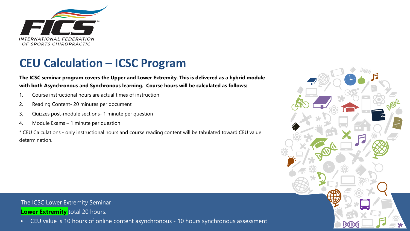

## **CEU Calculation – ICSC Program**

**The ICSC seminar program covers the Upper and Lower Extremity. This is delivered as a hybrid module with both Asynchronous and Synchronous learning. Course hours will be calculated as follows:**

- 1. Course instructional hours are actual times of instruction
- 2. Reading Content- 20 minutes per document
- 3. Quizzes post-module sections- 1 minute per question
- 4. Module Exams 1 minute per question

\* CEU Calculations - only instructional hours and course reading content will be tabulated toward CEU value determination.



## The ICSC Lower Extremity Seminar **Lower Extremity** total 20 hours.

• CEU value is 10 hours of online content asynchronous - 10 hours synchronous assessment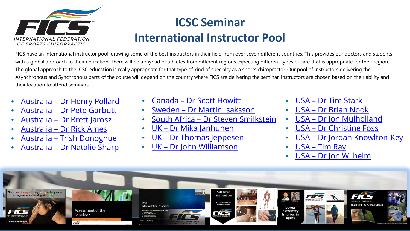

# **ICSC Seminar International Instructor Pool**

FICS have an international instructor pool, drawing some of the best instructors in their field from over seven different countries. This provides our doctors and students with a global approach to their education. There will be a myriad of athletes from different regions expecting different types of care that is appropriate for their region. The global approach to the ICSC education is really appropriate for that type of kind of specialty as a sports chiropractor. Our pool of Instructors delivering the Asynchronous and Synchronous parts of the course will depend on the country where FICS are delivering the seminar. Instructors are chosen based on their ability and their location to attend seminars.

- Australia [Dr Henry Pollard](https://fics.sport/henry-pollard-3/)
- Australia [Dr Pete Garbutt](https://fics.sport/peter-garbutt/)
- Australia [Dr Brett Jarosz](https://fics.sport/dr-brett-jarosz/)
- Australia [Dr Rick Ames](https://fics.sport/dr-rick-ames/)
- Australia [Trish Donoghue](https://fics.sport/trish-donoghue/)
- Australia [Dr Natalie Sharp](https://fics.sport/natalie-sharp/)
- [Canada Dr Scott Howitt](https://fics.sport/scott-howitt-2/)
- Sweden [Dr Martin Isaksson](https://fics.sport/martin-isaksson/)
- South Africa [Dr Steven Smilkstein](https://fics.sport/dr-steven-smilkstein/)
- <u> [UK Dr Mika Janhunen](https://fics.sport/dr-mika-janhunen/)</u>
- UK [Dr Thomas Jeppesen](https://fics.sport/thomas-jeppesen/)
- UK [Dr John Williamson](https://fics.sport/john-williamson/)
- USA [Dr Tim Stark](https://fics.sport/dr-timothy-stark/)
- USA [Dr Brian Nook](https://fics.sport/dr-briannook/)
- USA [Dr Jon Mulholland](https://fics.sport/dr-jon-mulholland/)
- USA [Dr Christine Foss](https://fics.sport/dr-christine-foss/)
- USA [Dr Jordan Knowlton-Key](https://fics.sport/jordan-knowlton-key/)
- USA [Tim Ray](https://fics.sport/timothy-ray/)
- USA [Dr Jon Wilhelm](https://fics.sport/dr-jonathan-wilhelm/)

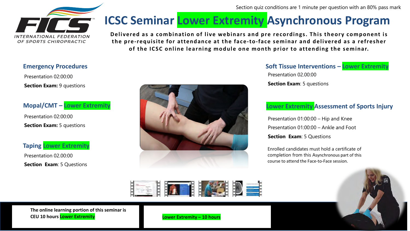Section quiz conditions are 1 minute per question with an 80% pass mark



# **ICSC Seminar Lower Extremity Asynchronous Program**

**Delivered as a combination of live webinars and pre recordings. This theory component is the pre-requisite for attendance at the face-to-face seminar and delivered as a refresher of the ICSC online learning module one month prior to attending the seminar.** 

### **Emergency Procedures**

Presentation 02:00:00 **Section Exam: 9 questions** 

## **Mopal/CMT – Lower Extremity**

Presentation 02:00:00 **Section Exam:** 5 questions

### **Taping Lower Extremity**

Presentation 02.00:00 **Section Exam**: 5 Questions



**Soft Tissue Interventions – Lower Extremity** Presentation 02.00:00 **Section Exam**: 5 questions

## **Lower Extremity Assessment of Sports Injury**

Presentation 01:00:00 – Hip and Knee Presentation 01:00:00 – Ankle and Foot **Section Exam**: 5 Questions

Enrolled candidates must hold a certificate of completion from this Asynchronous part of this course to attend the Face-to-Face session.



**The online learning portion of this seminar is CEU 10 hours Lower Extremity Lower Extremity – 10 hours**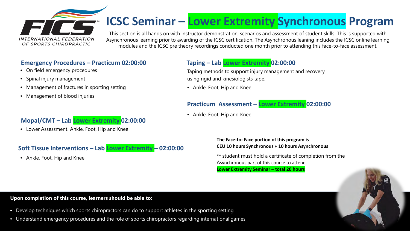

# **ICSC Seminar – Lower Extremity Synchronous Program**

This section is all hands on with instructor demonstration, scenarios and assessment of student skills. This is supported with Asynchronous learning prior to awarding of the ICSC certification. The Asynchronous leaning includes the ICSC online learning modules and the ICSC pre theory recordings conducted one month prior to attending this face-to-face assessment.

### **Emergency Procedures – Practicum 02:00:00**

- On field emergency procedures
- Spinal injury management
- Management of fractures in sporting setting
- Management of blood injuries

## **Mopal/CMT – Lab Lower Extremity 02:00:00**

• Lower Assessment. Ankle, Foot, Hip and Knee

## **Soft Tissue Interventions – Lab Lower Extremity – 02:00:00**

• Ankle, Foot, Hip and Knee

## **Taping – Lab Lower Extremity 02:00:00**

Taping methods to support injury management and recovery using rigid and kinesiologists tape.

• Ankle, Foot, Hip and Knee

### **Practicum Assessment – Lower Extremity 02:00:00**

• Ankle, Foot, Hip and Knee

**The Face-to- Face portion of this program is CEU 10 hours Synchronous + 10 hours Asynchronous**

\*\* student must hold a certificate of completion from the Asynchronous part of this course to attend. **Lower Extremity Seminar – total 20 hours**



#### **Upon completion of this course, learners should be able to:**

- Develop techniques which sports chiropractors can do to support athletes in the sporting setting
- Understand emergency procedures and the role of sports chiropractors regarding international games.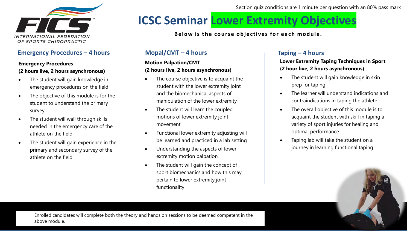

### **Emergency Procedures – 4 hours**

#### **Emergency Procedures (2 hours live, 2 hours asynchronous)**

- The student will gain knowledge in emergency procedures on the field
- The objective of this module is for the student to understand the primary survey
- The student will wall through skills needed in the emergency care of the athlete on the field
- The student will gain experience in the primary and secondary survey of the athlete on the field

Section quiz conditions are 1 minute per question with an 80% pass mark

# **ICSC Seminar Lower Extremity Objectives**

**Below is the course objectives for each module.** 

### **Mopal/CMT – 4 hours**

### **Motion Palpation/CMT (2 hours live, 2 hours asynchronous)**

- The course objective is to acquaint the student with the lower extremity joint and the biomechanical aspects of manipulation of the lower extremity
- The student will learn the coupled motions of lower extremity joint movement
- Functional lower extremity adjusting will be learned and practiced in a lab setting
- Understanding the aspects of lower extremity motion palpation
- The student will gain the concept of sport biomechanics and how this may pertain to lower extremity joint functionality

## **Taping – 4 hours**

**Lower Extremity Taping Techniques in Sport (2 hour live, 2 hours asynchronous)**

- The student will gain knowledge in skin prep for taping
- The learner will understand indications and contraindications in taping the athlete
- The overall objective of this module is to acquaint the student with skill in taping a variety of sport injuries for healing and optimal performance
- Taping lab will take the student on a journey in learning functional taping

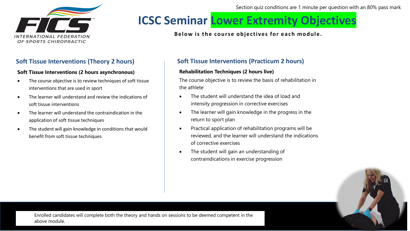

Section quiz conditions are 1 minute per question with an 80% pass mark

# **ICSC Seminar Lower Extremity Objectives**

**Below is the course objectives for each module.** 

### **Soft Tissue Interventions (Theory 2 hours)**

#### **Soft Tissue Interventions (2 hours asynchronous)**

- The course objective is to review techniques of soft tissue interventions that are used in sport
- The learner will understand and review the indications of soft tissue interventions
- The learner will understand the contraindication in the application of soft tissue techniques
- The student will gain knowledge in conditions that would benefit from soft tissue techniques

### **Soft Tissue Interventions (Practicum 2 hours)**

#### **Rehabilitation Techniques (2 hours live)**

The course objective is to review the basis of rehabilitation in the athlete

- The student will understand the idea of load and intensity progression in corrective exercises
- The learner will gain knowledge in the progress in the return to sport plan
- Practical application of rehabilitation programs will be reviewed, and the learner will understand the indications of corrective exercises
- The student will gain an understanding of contraindications in exercise progression